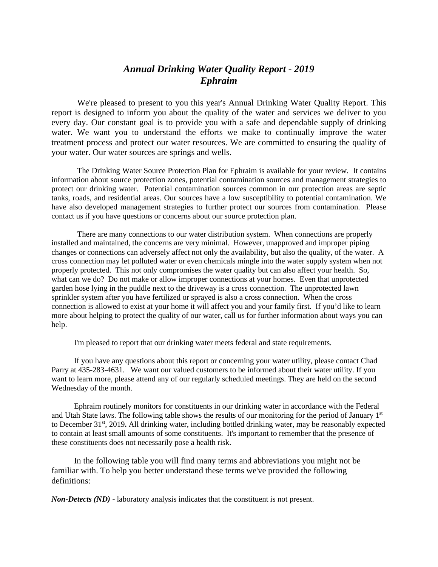## *Annual Drinking Water Quality Report - 2019 Ephraim*

We're pleased to present to you this year's Annual Drinking Water Quality Report. This report is designed to inform you about the quality of the water and services we deliver to you every day. Our constant goal is to provide you with a safe and dependable supply of drinking water. We want you to understand the efforts we make to continually improve the water treatment process and protect our water resources. We are committed to ensuring the quality of your water. Our water sources are springs and wells.

The Drinking Water Source Protection Plan for Ephraim is available for your review. It contains information about source protection zones, potential contamination sources and management strategies to protect our drinking water. Potential contamination sources common in our protection areas are septic tanks, roads, and residential areas. Our sources have a low susceptibility to potential contamination. We have also developed management strategies to further protect our sources from contamination. Please contact us if you have questions or concerns about our source protection plan.

There are many connections to our water distribution system. When connections are properly installed and maintained, the concerns are very minimal. However, unapproved and improper piping changes or connections can adversely affect not only the availability, but also the quality, of the water. A cross connection may let polluted water or even chemicals mingle into the water supply system when not properly protected. This not only compromises the water quality but can also affect your health. So, what can we do? Do not make or allow improper connections at your homes. Even that unprotected garden hose lying in the puddle next to the driveway is a cross connection. The unprotected lawn sprinkler system after you have fertilized or sprayed is also a cross connection. When the cross connection is allowed to exist at your home it will affect you and your family first. If you'd like to learn more about helping to protect the quality of our water, call us for further information about ways you can help.

I'm pleased to report that our drinking water meets federal and state requirements.

If you have any questions about this report or concerning your water utility, please contact Chad Parry at 435-283-4631. We want our valued customers to be informed about their water utility. If you want to learn more, please attend any of our regularly scheduled meetings. They are held on the second Wednesday of the month.

Ephraim routinely monitors for constituents in our drinking water in accordance with the Federal and Utah State laws. The following table shows the results of our monitoring for the period of January  $1<sup>st</sup>$ to December 31<sup>st</sup>, 2019. All drinking water, including bottled drinking water, may be reasonably expected to contain at least small amounts of some constituents. It's important to remember that the presence of these constituents does not necessarily pose a health risk.

In the following table you will find many terms and abbreviations you might not be familiar with. To help you better understand these terms we've provided the following definitions:

*Non-Detects (ND)* - laboratory analysis indicates that the constituent is not present.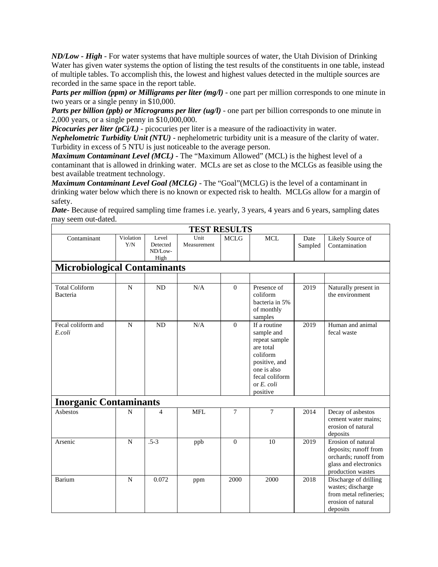*ND/Low - High -* For water systems that have multiple sources of water, the Utah Division of Drinking Water has given water systems the option of listing the test results of the constituents in one table, instead of multiple tables. To accomplish this, the lowest and highest values detected in the multiple sources are recorded in the same space in the report table.

*Parts per million (ppm) or Milligrams per liter (mg/l)* - one part per million corresponds to one minute in two years or a single penny in \$10,000.

*Parts per billion (ppb) or Micrograms per liter (ug/l)* - one part per billion corresponds to one minute in 2,000 years, or a single penny in \$10,000,000.

*Picocuries per liter (pCi/L)* - picocuries per liter is a measure of the radioactivity in water.

*Nephelometric Turbidity Unit (NTU)* - nephelometric turbidity unit is a measure of the clarity of water. Turbidity in excess of 5 NTU is just noticeable to the average person.

*Maximum Contaminant Level (MCL)* - The "Maximum Allowed" (MCL) is the highest level of a contaminant that is allowed in drinking water. MCLs are set as close to the MCLGs as feasible using the best available treatment technology.

*Maximum Contaminant Level Goal (MCLG)* - The "Goal"(MCLG) is the level of a contaminant in drinking water below which there is no known or expected risk to health. MCLGs allow for a margin of safety.

*Date*- Because of required sampling time frames *i.e.* yearly, 3 years, 4 years and 6 years, sampling dates may seem out-dated.

| <b>TEST RESULTS</b>                 |                  |                                      |                     |                |                                                                                                                                                     |                 |                                                                                                                    |  |  |  |  |  |
|-------------------------------------|------------------|--------------------------------------|---------------------|----------------|-----------------------------------------------------------------------------------------------------------------------------------------------------|-----------------|--------------------------------------------------------------------------------------------------------------------|--|--|--|--|--|
| Contaminant                         | Violation<br>Y/N | Level<br>Detected<br>ND/Low-<br>High | Unit<br>Measurement | <b>MCLG</b>    | <b>MCL</b>                                                                                                                                          | Date<br>Sampled | Likely Source of<br>Contamination                                                                                  |  |  |  |  |  |
| <b>Microbiological Contaminants</b> |                  |                                      |                     |                |                                                                                                                                                     |                 |                                                                                                                    |  |  |  |  |  |
|                                     |                  |                                      |                     |                |                                                                                                                                                     |                 |                                                                                                                    |  |  |  |  |  |
| <b>Total Coliform</b><br>Bacteria   | $\mathbf N$      | <b>ND</b>                            | N/A                 | $\theta$       | Presence of<br>coliform<br>bacteria in 5%<br>of monthly<br>samples                                                                                  | 2019            | Naturally present in<br>the environment                                                                            |  |  |  |  |  |
| Fecal coliform and<br>E.coli        | $\mathbf N$      | <b>ND</b>                            | N/A                 | $\overline{0}$ | If a routine<br>sample and<br>repeat sample<br>are total<br>coliform<br>positive, and<br>one is also<br>fecal coliform<br>or $E$ , coli<br>positive | 2019            | Human and animal<br>fecal waste                                                                                    |  |  |  |  |  |
| <b>Inorganic Contaminants</b>       |                  |                                      |                     |                |                                                                                                                                                     |                 |                                                                                                                    |  |  |  |  |  |
| Asbestos                            | $\mathbf N$      | 4                                    | <b>MFL</b>          | $\overline{7}$ | $7\phantom{.0}$                                                                                                                                     | 2014            | Decay of asbestos<br>cement water mains:<br>erosion of natural<br>deposits                                         |  |  |  |  |  |
| Arsenic                             | N                | $.5-3$                               | ppb                 | $\overline{0}$ | 10                                                                                                                                                  | 2019            | Erosion of natural<br>deposits; runoff from<br>orchards; runoff from<br>glass and electronics<br>production wastes |  |  |  |  |  |
| Barium                              | N                | 0.072                                | ppm                 | 2000           | 2000                                                                                                                                                | 2018            | Discharge of drilling<br>wastes; discharge<br>from metal refineries;<br>erosion of natural<br>deposits             |  |  |  |  |  |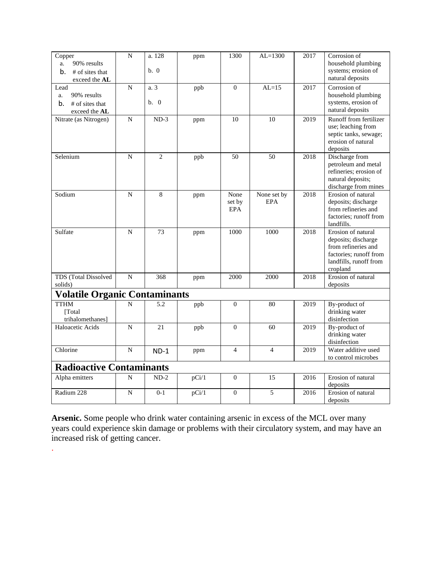| Copper<br>90% results<br>a.<br>b.<br># of sites that<br>exceed the AL | $\mathbf N$    | a. 128<br>b. 0 | ppm   | 1300                         | $AL=1300$                 | 2017 | Corrosion of<br>household plumbing<br>systems; erosion of<br>natural deposits                                                    |  |  |
|-----------------------------------------------------------------------|----------------|----------------|-------|------------------------------|---------------------------|------|----------------------------------------------------------------------------------------------------------------------------------|--|--|
| Lead<br>90% results<br>a.<br>b.<br># of sites that<br>exceed the AL   | $\mathbf N$    | a. 3<br>h. 0   | ppb   | $\Omega$                     | $AL=15$                   | 2017 | Corrosion of<br>household plumbing<br>systems, erosion of<br>natural deposits                                                    |  |  |
| Nitrate (as Nitrogen)                                                 | $\overline{N}$ | $ND-3$         | ppm   | 10                           | 10                        | 2019 | Runoff from fertilizer<br>use; leaching from<br>septic tanks, sewage;<br>erosion of natural<br>deposits                          |  |  |
| Selenium                                                              | $\overline{N}$ | $\overline{2}$ | ppb   | 50                           | 50                        | 2018 | Discharge from<br>petroleum and metal<br>refineries; erosion of<br>natural deposits;<br>discharge from mines                     |  |  |
| Sodium                                                                | N              | 8              | ppm   | None<br>set by<br><b>EPA</b> | None set by<br><b>EPA</b> | 2018 | Erosion of natural<br>deposits; discharge<br>from refineries and<br>factories; runoff from<br>landfills.                         |  |  |
| Sulfate                                                               | N              | 73             | ppm   | 1000                         | 1000                      | 2018 | Erosion of natural<br>deposits; discharge<br>from refineries and<br>factories: runoff from<br>landfills, runoff from<br>cropland |  |  |
| TDS (Total Dissolved<br>solids)                                       | N              | 368            | ppm   | 2000                         | 2000                      | 2018 | Erosion of natural<br>deposits                                                                                                   |  |  |
| <b>Volatile Organic Contaminants</b>                                  |                |                |       |                              |                           |      |                                                                                                                                  |  |  |
| <b>TTHM</b><br>[Total]<br>trihalomethanes]                            | $\mathbf N$    | 5.2            | ppb   | $\overline{0}$               | 80                        | 2019 | By-product of<br>drinking water<br>disinfection                                                                                  |  |  |
| Haloacetic Acids                                                      | N              | 21             | ppb   | $\Omega$                     | 60                        | 2019 | By-product of<br>drinking water<br>disinfection                                                                                  |  |  |
| Chlorine                                                              | N              | $ND-1$         | ppm   | $\overline{4}$               | $\overline{4}$            | 2019 | Water additive used<br>to control microbes                                                                                       |  |  |
| <b>Radioactive Contaminants</b>                                       |                |                |       |                              |                           |      |                                                                                                                                  |  |  |
| Alpha emitters                                                        | N              | $ND-2$         | pCi/1 | $\Omega$                     | 15                        | 2016 | Erosion of natural<br>deposits                                                                                                   |  |  |
| Radium 228                                                            | N              | $0-1$          | pCi/1 | $\mathbf{0}$                 | 5                         | 2016 | Erosion of natural<br>deposits                                                                                                   |  |  |

**Arsenic.** Some people who drink water containing arsenic in excess of the MCL over many years could experience skin damage or problems with their circulatory system, and may have an increased risk of getting cancer.

.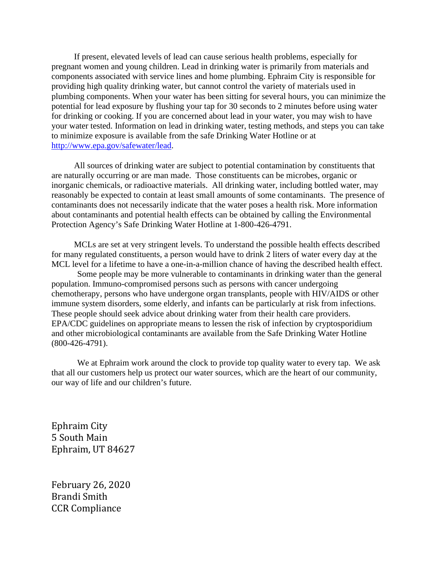If present, elevated levels of lead can cause serious health problems, especially for pregnant women and young children. Lead in drinking water is primarily from materials and components associated with service lines and home plumbing. Ephraim City is responsible for providing high quality drinking water, but cannot control the variety of materials used in plumbing components. When your water has been sitting for several hours, you can minimize the potential for lead exposure by flushing your tap for 30 seconds to 2 minutes before using water for drinking or cooking. If you are concerned about lead in your water, you may wish to have your water tested. Information on lead in drinking water, testing methods, and steps you can take to minimize exposure is available from the safe Drinking Water Hotline or at [http://www.epa.gov/safewater/lead.](http://www.epa.gov/safewater/lead)

All sources of drinking water are subject to potential contamination by constituents that are naturally occurring or are man made. Those constituents can be microbes, organic or inorganic chemicals, or radioactive materials. All drinking water, including bottled water, may reasonably be expected to contain at least small amounts of some contaminants. The presence of contaminants does not necessarily indicate that the water poses a health risk. More information about contaminants and potential health effects can be obtained by calling the Environmental Protection Agency's Safe Drinking Water Hotline at 1-800-426-4791.

MCLs are set at very stringent levels. To understand the possible health effects described for many regulated constituents, a person would have to drink 2 liters of water every day at the MCL level for a lifetime to have a one-in-a-million chance of having the described health effect.

Some people may be more vulnerable to contaminants in drinking water than the general population. Immuno-compromised persons such as persons with cancer undergoing chemotherapy, persons who have undergone organ transplants, people with HIV/AIDS or other immune system disorders, some elderly, and infants can be particularly at risk from infections. These people should seek advice about drinking water from their health care providers. EPA/CDC guidelines on appropriate means to lessen the risk of infection by cryptosporidium and other microbiological contaminants are available from the Safe Drinking Water Hotline (800-426-4791).

We at Ephraim work around the clock to provide top quality water to every tap. We ask that all our customers help us protect our water sources, which are the heart of our community, our way of life and our children's future.

Ephraim City 5 South Main Ephraim, UT 84627

February 26, 2020 Brandi Smith CCR Compliance